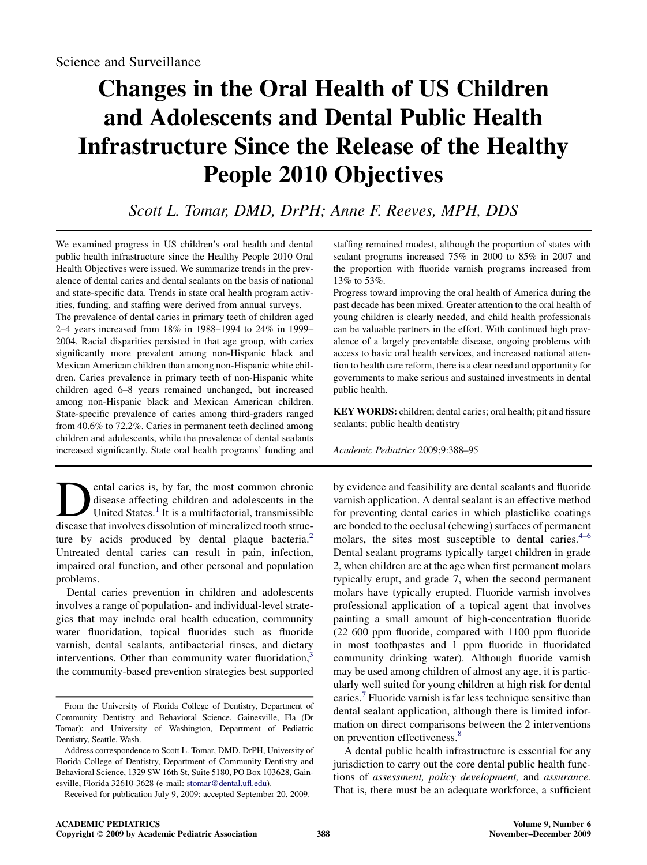# Changes in the Oral Health of US Children and Adolescents and Dental Public Health Infrastructure Since the Release of the Healthy People 2010 Objectives

# Scott L. Tomar, DMD, DrPH; Anne F. Reeves, MPH, DDS

We examined progress in US children's oral health and dental public health infrastructure since the Healthy People 2010 Oral Health Objectives were issued. We summarize trends in the prevalence of dental caries and dental sealants on the basis of national and state-specific data. Trends in state oral health program activities, funding, and staffing were derived from annual surveys.

The prevalence of dental caries in primary teeth of children aged 2–4 years increased from 18% in 1988–1994 to 24% in 1999– 2004. Racial disparities persisted in that age group, with caries significantly more prevalent among non-Hispanic black and Mexican American children than among non-Hispanic white children. Caries prevalence in primary teeth of non-Hispanic white children aged 6–8 years remained unchanged, but increased among non-Hispanic black and Mexican American children. State-specific prevalence of caries among third-graders ranged from 40.6% to 72.2%. Caries in permanent teeth declined among children and adolescents, while the prevalence of dental sealants increased significantly. State oral health programs' funding and

**Dental caries is, by far, the most common chronic disease affecting children and adolescents in the United States.** <sup>1</sup> It is a multifactorial, transmissible disease that involves dissolution of mineralized tooth strucdisease affecting children and adolescents in the United States.<sup>1</sup> It is a multifactorial, transmissible disease that involves dissolution of mineralized tooth structure by acids produced by dental plaque bacteria. $2$ Untreated dental caries can result in pain, infection, impaired oral function, and other personal and population problems.

Dental caries prevention in children and adolescents involves a range of population- and individual-level strategies that may include oral health education, community water fluoridation, topical fluorides such as fluoride varnish, dental sealants, antibacterial rinses, and dietary interventions. Other than community water fluoridation,<sup>[3](#page-7-0)</sup> the community-based prevention strategies best supported

staffing remained modest, although the proportion of states with sealant programs increased 75% in 2000 to 85% in 2007 and the proportion with fluoride varnish programs increased from 13% to 53%.

Progress toward improving the oral health of America during the past decade has been mixed. Greater attention to the oral health of young children is clearly needed, and child health professionals can be valuable partners in the effort. With continued high prevalence of a largely preventable disease, ongoing problems with access to basic oral health services, and increased national attention to health care reform, there is a clear need and opportunity for governments to make serious and sustained investments in dental public health.

KEY WORDS: children; dental caries; oral health; pit and fissure sealants; public health dentistry

Academic Pediatrics 2009;9:388–95

by evidence and feasibility are dental sealants and fluoride varnish application. A dental sealant is an effective method for preventing dental caries in which plasticlike coatings are bonded to the occlusal (chewing) surfaces of permanent molars, the sites most susceptible to dental caries. $4-6$ Dental sealant programs typically target children in grade 2, when children are at the age when first permanent molars typically erupt, and grade 7, when the second permanent molars have typically erupted. Fluoride varnish involves professional application of a topical agent that involves painting a small amount of high-concentration fluoride (22 600 ppm fluoride, compared with 1100 ppm fluoride in most toothpastes and 1 ppm fluoride in fluoridated community drinking water). Although fluoride varnish may be used among children of almost any age, it is particularly well suited for young children at high risk for dental caries.<sup>[7](#page-7-0)</sup> Fluoride varnish is far less technique sensitive than dental sealant application, although there is limited information on direct comparisons between the 2 interventions on prevention effectiveness.<sup>[8](#page-7-0)</sup>

A dental public health infrastructure is essential for any jurisdiction to carry out the core dental public health functions of assessment, policy development, and assurance. That is, there must be an adequate workforce, a sufficient

From the University of Florida College of Dentistry, Department of Community Dentistry and Behavioral Science, Gainesville, Fla (Dr Tomar); and University of Washington, Department of Pediatric Dentistry, Seattle, Wash.

Address correspondence to Scott L. Tomar, DMD, DrPH, University of Florida College of Dentistry, Department of Community Dentistry and Behavioral Science, 1329 SW 16th St, Suite 5180, PO Box 103628, Gainesville, Florida 32610-3628 (e-mail: [stomar@dental.ufl.edu](mailto:stomar@dental.ufl.edu)).

Received for publication July 9, 2009; accepted September 20, 2009.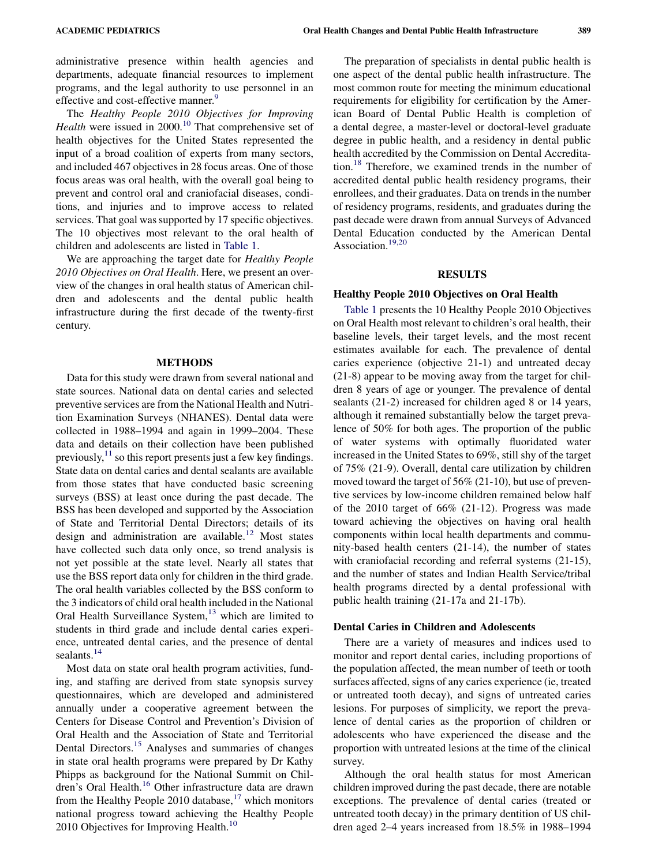administrative presence within health agencies and departments, adequate financial resources to implement programs, and the legal authority to use personnel in an effective and cost-effective manner.<sup>[9](#page-7-0)</sup>

The Healthy People 2010 Objectives for Improving *Health* were issued in  $2000$ .<sup>[10](#page-7-0)</sup> That comprehensive set of health objectives for the United States represented the input of a broad coalition of experts from many sectors, and included 467 objectives in 28 focus areas. One of those focus areas was oral health, with the overall goal being to prevent and control oral and craniofacial diseases, conditions, and injuries and to improve access to related services. That goal was supported by 17 specific objectives. The 10 objectives most relevant to the oral health of children and adolescents are listed in [Table 1](#page-2-0).

We are approaching the target date for Healthy People 2010 Objectives on Oral Health. Here, we present an overview of the changes in oral health status of American children and adolescents and the dental public health infrastructure during the first decade of the twenty-first century.

#### METHODS

Data for this study were drawn from several national and state sources. National data on dental caries and selected preventive services are from the National Health and Nutrition Examination Surveys (NHANES). Dental data were collected in 1988–1994 and again in 1999–2004. These data and details on their collection have been published previously, $11$  so this report presents just a few key findings. State data on dental caries and dental sealants are available from those states that have conducted basic screening surveys (BSS) at least once during the past decade. The BSS has been developed and supported by the Association of State and Territorial Dental Directors; details of its design and administration are available.<sup>[12](#page-7-0)</sup> Most states have collected such data only once, so trend analysis is not yet possible at the state level. Nearly all states that use the BSS report data only for children in the third grade. The oral health variables collected by the BSS conform to the 3 indicators of child oral health included in the National Oral Health Surveillance System, $13$  which are limited to students in third grade and include dental caries experience, untreated dental caries, and the presence of dental sealants.<sup>[14](#page-7-0)</sup>

Most data on state oral health program activities, funding, and staffing are derived from state synopsis survey questionnaires, which are developed and administered annually under a cooperative agreement between the Centers for Disease Control and Prevention's Division of Oral Health and the Association of State and Territorial Dental Directors.<sup>[15](#page-7-0)</sup> Analyses and summaries of changes in state oral health programs were prepared by Dr Kathy Phipps as background for the National Summit on Chil-dren's Oral Health.<sup>[16](#page-7-0)</sup> Other infrastructure data are drawn from the Healthy People 2010 database, $17$  which monitors national progress toward achieving the Healthy People 20[10](#page-7-0) Objectives for Improving Health.<sup>10</sup>

The preparation of specialists in dental public health is one aspect of the dental public health infrastructure. The most common route for meeting the minimum educational requirements for eligibility for certification by the American Board of Dental Public Health is completion of a dental degree, a master-level or doctoral-level graduate degree in public health, and a residency in dental public health accredited by the Commission on Dental Accreditation.[18](#page-7-0) Therefore, we examined trends in the number of accredited dental public health residency programs, their enrollees, and their graduates. Data on trends in the number of residency programs, residents, and graduates during the past decade were drawn from annual Surveys of Advanced Dental Education conducted by the American Dental Association.<sup>19,20</sup>

#### RESULTS

#### Healthy People 2010 Objectives on Oral Health

[Table 1](#page-2-0) presents the 10 Healthy People 2010 Objectives on Oral Health most relevant to children's oral health, their baseline levels, their target levels, and the most recent estimates available for each. The prevalence of dental caries experience (objective 21-1) and untreated decay (21-8) appear to be moving away from the target for children 8 years of age or younger. The prevalence of dental sealants (21-2) increased for children aged 8 or 14 years, although it remained substantially below the target prevalence of 50% for both ages. The proportion of the public of water systems with optimally fluoridated water increased in the United States to 69%, still shy of the target of 75% (21-9). Overall, dental care utilization by children moved toward the target of 56% (21-10), but use of preventive services by low-income children remained below half of the 2010 target of 66% (21-12). Progress was made toward achieving the objectives on having oral health components within local health departments and community-based health centers (21-14), the number of states with craniofacial recording and referral systems (21-15), and the number of states and Indian Health Service/tribal health programs directed by a dental professional with public health training (21-17a and 21-17b).

#### Dental Caries in Children and Adolescents

There are a variety of measures and indices used to monitor and report dental caries, including proportions of the population affected, the mean number of teeth or tooth surfaces affected, signs of any caries experience (ie, treated or untreated tooth decay), and signs of untreated caries lesions. For purposes of simplicity, we report the prevalence of dental caries as the proportion of children or adolescents who have experienced the disease and the proportion with untreated lesions at the time of the clinical survey.

Although the oral health status for most American children improved during the past decade, there are notable exceptions. The prevalence of dental caries (treated or untreated tooth decay) in the primary dentition of US children aged 2–4 years increased from 18.5% in 1988–1994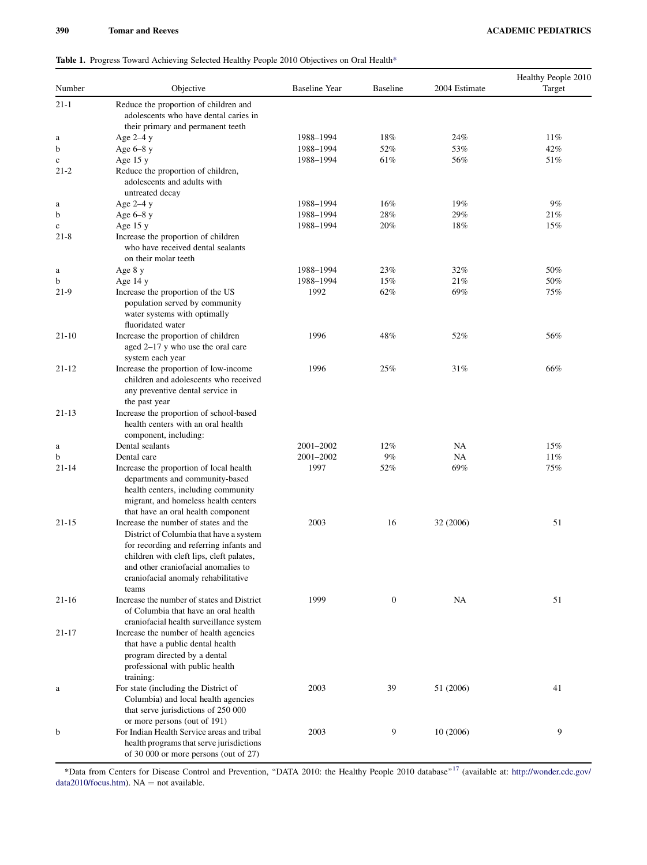## <span id="page-2-0"></span>Table 1. Progress Toward Achieving Selected Healthy People 2010 Objectives on Oral Health\*

| Number      | Objective                                                                                                                                                                                                                                                      | Baseline Year | <b>Baseline</b>  | 2004 Estimate | Healthy People 2010<br>Target |
|-------------|----------------------------------------------------------------------------------------------------------------------------------------------------------------------------------------------------------------------------------------------------------------|---------------|------------------|---------------|-------------------------------|
| $21 - 1$    | Reduce the proportion of children and<br>adolescents who have dental caries in<br>their primary and permanent teeth                                                                                                                                            |               |                  |               |                               |
| a           | Age $2-4y$                                                                                                                                                                                                                                                     | 1988-1994     | 18%              | 24%           | 11%                           |
| b           | Age $6-8$ y                                                                                                                                                                                                                                                    | 1988-1994     | 52%              | 53%           | 42%                           |
| $\mathbf c$ | Age $15 y$                                                                                                                                                                                                                                                     | 1988-1994     | 61%              | 56%           | 51%                           |
| $21-2$      | Reduce the proportion of children,<br>adolescents and adults with<br>untreated decay                                                                                                                                                                           |               |                  |               |                               |
| a           | Age $2-4y$                                                                                                                                                                                                                                                     | 1988-1994     | 16%              | 19%           | 9%                            |
| b           | Age $6-8$ y                                                                                                                                                                                                                                                    | 1988-1994     | 28%              | 29%           | 21%                           |
| $\mathbf c$ | Age $15 y$                                                                                                                                                                                                                                                     | 1988-1994     | 20%              | 18%           | 15%                           |
| $21-8$      | Increase the proportion of children<br>who have received dental sealants<br>on their molar teeth                                                                                                                                                               |               |                  |               |                               |
| a           | Age 8 y                                                                                                                                                                                                                                                        | 1988-1994     | 23%              | 32%           | 50%                           |
| b           | Age $14y$                                                                                                                                                                                                                                                      | 1988-1994     | 15%              | 21%           | 50%                           |
| $21-9$      | Increase the proportion of the US<br>population served by community<br>water systems with optimally<br>fluoridated water                                                                                                                                       | 1992          | 62%              | 69%           | 75%                           |
| $21-10$     | Increase the proportion of children<br>aged 2–17 y who use the oral care<br>system each year                                                                                                                                                                   | 1996          | 48%              | 52%           | 56%                           |
| $21 - 12$   | Increase the proportion of low-income<br>children and adolescents who received<br>any preventive dental service in<br>the past year                                                                                                                            | 1996          | 25%              | 31%           | 66%                           |
| $21 - 13$   | Increase the proportion of school-based<br>health centers with an oral health<br>component, including:                                                                                                                                                         |               |                  |               |                               |
| a           | Dental sealants                                                                                                                                                                                                                                                | 2001-2002     | 12%              | NA            | 15%                           |
| b           | Dental care                                                                                                                                                                                                                                                    | 2001-2002     | 9%               | NA            | 11%                           |
| 21-14       | Increase the proportion of local health<br>departments and community-based<br>health centers, including community<br>migrant, and homeless health centers<br>that have an oral health component                                                                | 1997          | 52%              | 69%           | 75%                           |
| $21 - 15$   | Increase the number of states and the<br>District of Columbia that have a system<br>for recording and referring infants and<br>children with cleft lips, cleft palates,<br>and other craniofacial anomalies to<br>craniofacial anomaly rehabilitative<br>teams | 2003          | 16               | 32 (2006)     | 51                            |
| $21-16$     | Increase the number of states and District<br>of Columbia that have an oral health<br>craniofacial health surveillance system                                                                                                                                  | 1999          | $\boldsymbol{0}$ | NA            | 51                            |
| $21 - 17$   | Increase the number of health agencies<br>that have a public dental health<br>program directed by a dental<br>professional with public health<br>training:                                                                                                     |               |                  |               |                               |
| a           | For state (including the District of<br>Columbia) and local health agencies<br>that serve jurisdictions of 250 000<br>or more persons (out of 191)                                                                                                             | 2003          | 39               | 51 (2006)     | 41                            |
| b           | For Indian Health Service areas and tribal<br>health programs that serve jurisdictions<br>of 30 000 or more persons (out of 27)                                                                                                                                | 2003          | 9                | 10 (2006)     | 9                             |

\*Data from Centers for Disease Control and Prevention, "DATA 2010: the Healthy People 2010 database"<sup>17</sup> (available at: [http://wonder.cdc.gov/](http://wonder.cdc.gov/data2010/focus.htm) [data2010/focus.htm](http://wonder.cdc.gov/data2010/focus.htm)).  $NA = not available$ .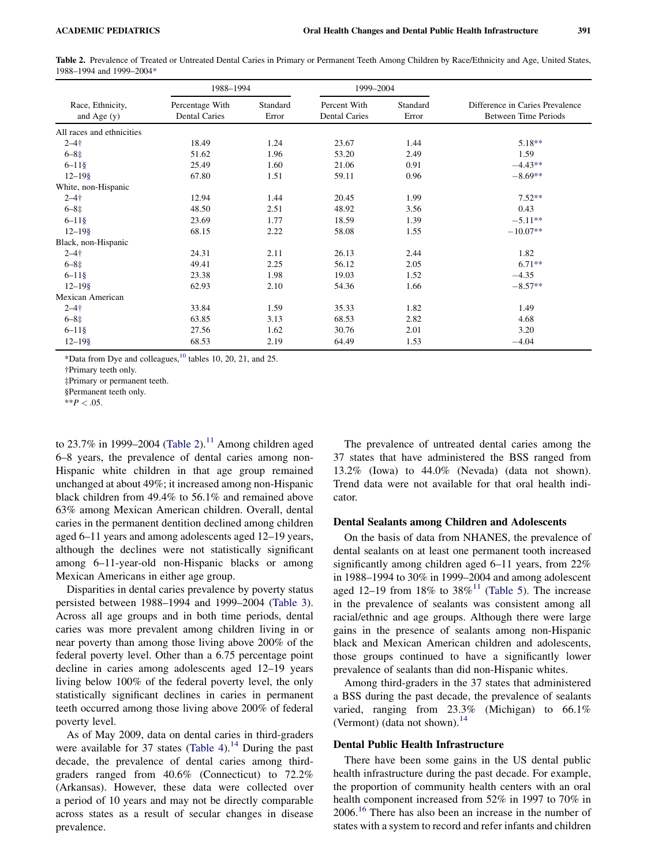Table 2. Prevalence of Treated or Untreated Dental Caries in Primary or Permanent Teeth Among Children by Race/Ethnicity and Age, United States, 1988–1994 and 1999–2004\*

|                                   | 1988-1994                               |                   | 1999-2004                            |                   |                                                                |
|-----------------------------------|-----------------------------------------|-------------------|--------------------------------------|-------------------|----------------------------------------------------------------|
| Race, Ethnicity,<br>and Age $(y)$ | Percentage With<br><b>Dental Caries</b> | Standard<br>Error | Percent With<br><b>Dental Caries</b> | Standard<br>Error | Difference in Caries Prevalence<br><b>Between Time Periods</b> |
| All races and ethnicities         |                                         |                   |                                      |                   |                                                                |
| $2 - 4 +$                         | 18.49                                   | 1.24              | 23.67                                | 1.44              | $5.18**$                                                       |
| $6 - 8 \pm $                      | 51.62                                   | 1.96              | 53.20                                | 2.49              | 1.59                                                           |
| $6 - 11$ §                        | 25.49                                   | 1.60              | 21.06                                | 0.91              | $-4.43**$                                                      |
| $12 - 19$ §                       | 67.80                                   | 1.51              | 59.11                                | 0.96              | $-8.69**$                                                      |
| White, non-Hispanic               |                                         |                   |                                      |                   |                                                                |
| $2 - 4 +$                         | 12.94                                   | 1.44              | 20.45                                | 1.99              | $7.52**$                                                       |
| $6 - 8 \pm $                      | 48.50                                   | 2.51              | 48.92                                | 3.56              | 0.43                                                           |
| $6 - 11$ §                        | 23.69                                   | 1.77              | 18.59                                | 1.39              | $-5.11**$                                                      |
| $12 - 19$ §                       | 68.15                                   | 2.22              | 58.08                                | 1.55              | $-10.07**$                                                     |
| Black, non-Hispanic               |                                         |                   |                                      |                   |                                                                |
| $2 - 4 +$                         | 24.31                                   | 2.11              | 26.13                                | 2.44              | 1.82                                                           |
| $6 - 8 \pm $                      | 49.41                                   | 2.25              | 56.12                                | 2.05              | $6.71**$                                                       |
| $6 - 11$ §                        | 23.38                                   | 1.98              | 19.03                                | 1.52              | $-4.35$                                                        |
| $12 - 19$ §                       | 62.93                                   | 2.10              | 54.36                                | 1.66              | $-8.57**$                                                      |
| Mexican American                  |                                         |                   |                                      |                   |                                                                |
| $2 - 4 +$                         | 33.84                                   | 1.59              | 35.33                                | 1.82              | 1.49                                                           |
| $6 - 8 \pm $                      | 63.85                                   | 3.13              | 68.53                                | 2.82              | 4.68                                                           |
| $6 - 11$ §                        | 27.56                                   | 1.62              | 30.76                                | 2.01              | 3.20                                                           |
| $12 - 198$                        | 68.53                                   | 2.19              | 64.49                                | 1.53              | $-4.04$                                                        |

\*Data from Dye and colleagues, $^{10}$  tables 10, 20, 21, and 25.

†Primary teeth only.

‡Primary or permanent teeth.

§Permanent teeth only.

to 23.7% in 1999–2004 (Table 2).<sup>[11](#page-7-0)</sup> Among children aged 6–8 years, the prevalence of dental caries among non-Hispanic white children in that age group remained unchanged at about 49%; it increased among non-Hispanic black children from 49.4% to 56.1% and remained above 63% among Mexican American children. Overall, dental caries in the permanent dentition declined among children aged 6–11 years and among adolescents aged 12–19 years, although the declines were not statistically significant among 6–11-year-old non-Hispanic blacks or among Mexican Americans in either age group.

Disparities in dental caries prevalence by poverty status persisted between 1988–1994 and 1999–2004 ([Table 3\)](#page-4-0). Across all age groups and in both time periods, dental caries was more prevalent among children living in or near poverty than among those living above 200% of the federal poverty level. Other than a 6.75 percentage point decline in caries among adolescents aged 12–19 years living below 100% of the federal poverty level, the only statistically significant declines in caries in permanent teeth occurred among those living above 200% of federal poverty level.

As of May 2009, data on dental caries in third-graders were available for 37 states ([Table 4](#page-5-0)).<sup>14</sup> During the past decade, the prevalence of dental caries among thirdgraders ranged from 40.6% (Connecticut) to 72.2% (Arkansas). However, these data were collected over a period of 10 years and may not be directly comparable across states as a result of secular changes in disease prevalence.

The prevalence of untreated dental caries among the 37 states that have administered the BSS ranged from 13.2% (Iowa) to 44.0% (Nevada) (data not shown). Trend data were not available for that oral health indicator.

#### Dental Sealants among Children and Adolescents

On the basis of data from NHANES, the prevalence of dental sealants on at least one permanent tooth increased significantly among children aged 6–11 years, from 22% in 1988–1994 to 30% in 1999–2004 and among adolescent aged 12–19 from 18% to  $38\%$ <sup>[11](#page-7-0)</sup> [\(Table 5\)](#page-6-0). The increase in the prevalence of sealants was consistent among all racial/ethnic and age groups. Although there were large gains in the presence of sealants among non-Hispanic black and Mexican American children and adolescents, those groups continued to have a significantly lower prevalence of sealants than did non-Hispanic whites.

Among third-graders in the 37 states that administered a BSS during the past decade, the prevalence of sealants varied, ranging from 23.3% (Michigan) to 66.1% (Vermont) (data not shown).<sup>[14](#page-7-0)</sup>

#### Dental Public Health Infrastructure

There have been some gains in the US dental public health infrastructure during the past decade. For example, the proportion of community health centers with an oral health component increased from 52% in 1997 to 70% in  $2006<sup>16</sup>$  $2006<sup>16</sup>$  $2006<sup>16</sup>$  There has also been an increase in the number of states with a system to record and refer infants and children

 $**P < .05$ .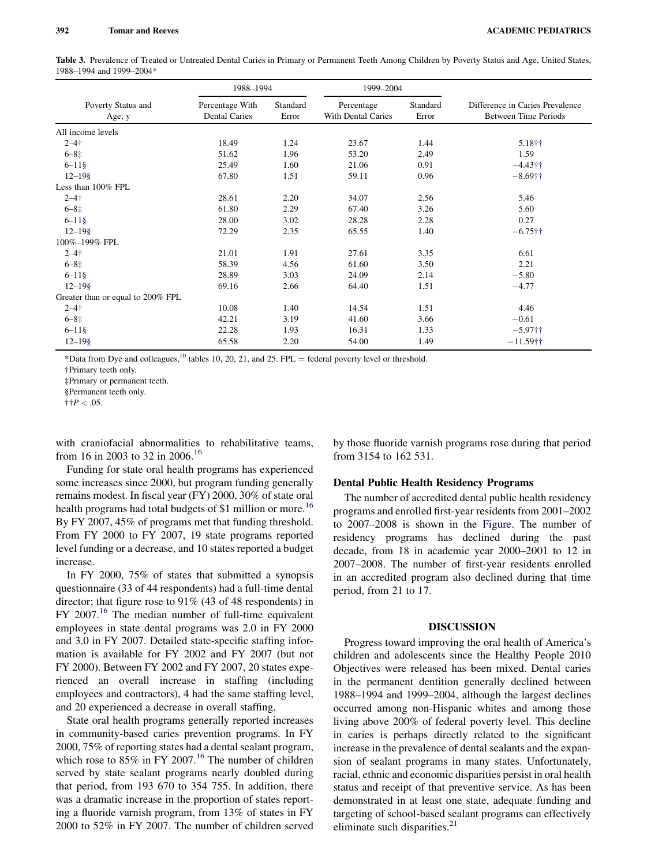<span id="page-4-0"></span>Table 3. Prevalence of Treated or Untreated Dental Caries in Primary or Permanent Teeth Among Children by Poverty Status and Age, United States, 1988–1994 and 1999–2004\*

|                                   | 1988-1994                               |                   | 1999-2004                        |                   |                                                         |
|-----------------------------------|-----------------------------------------|-------------------|----------------------------------|-------------------|---------------------------------------------------------|
| Poverty Status and<br>Age, y      | Percentage With<br><b>Dental Caries</b> | Standard<br>Error | Percentage<br>With Dental Caries | Standard<br>Error | Difference in Caries Prevalence<br>Between Time Periods |
| All income levels                 |                                         |                   |                                  |                   |                                                         |
| $2 - 4 +$                         | 18.49                                   | 1.24              | 23.67                            | 1.44              | 5.18††                                                  |
| $6 - 8 \pm $                      | 51.62                                   | 1.96              | 53.20                            | 2.49              | 1.59                                                    |
| $6 - 11$ §                        | 25.49                                   | 1.60              | 21.06                            | 0.91              | $-4.43$ ††                                              |
| $12 - 198$                        | 67.80                                   | 1.51              | 59.11                            | 0.96              | $-8.69$ ††                                              |
| Less than 100% FPL                |                                         |                   |                                  |                   |                                                         |
| $2 - 4 +$                         | 28.61                                   | 2.20              | 34.07                            | 2.56              | 5.46                                                    |
| $6 - 8 \pm $                      | 61.80                                   | 2.29              | 67.40                            | 3.26              | 5.60                                                    |
| $6 - 11$ §                        | 28.00                                   | 3.02              | 28.28                            | 2.28              | 0.27                                                    |
| $12 - 198$                        | 72.29                                   | 2.35              | 65.55                            | 1.40              | $-6.75$ ††                                              |
| 100%-199% FPL                     |                                         |                   |                                  |                   |                                                         |
| $2 - 4 +$                         | 21.01                                   | 1.91              | 27.61                            | 3.35              | 6.61                                                    |
| $6 - 8 \pm$                       | 58.39                                   | 4.56              | 61.60                            | 3.50              | 2.21                                                    |
| $6 - 11$ §                        | 28.89                                   | 3.03              | 24.09                            | 2.14              | $-5.80$                                                 |
| $12 - 19$ §                       | 69.16                                   | 2.66              | 64.40                            | 1.51              | $-4.77$                                                 |
| Greater than or equal to 200% FPL |                                         |                   |                                  |                   |                                                         |
| $2 - 4 +$                         | 10.08                                   | 1.40              | 14.54                            | 1.51              | 4.46                                                    |
| $6 - 8 \pm$                       | 42.21                                   | 3.19              | 41.60                            | 3.66              | $-0.61$                                                 |
| $6 - 11$ §                        | 22.28                                   | 1.93              | 16.31                            | 1.33              | $-5.97$ ††                                              |
| $12 - 19$ §                       | 65.58                                   | 2.20              | 54.00                            | 1.49              | $-11.59$ <sup>++</sup>                                  |

\*Data from Dye and colleagues, $^{10}$  tables 10, 20, 21, and 25. FPL = federal poverty level or threshold.

†Primary teeth only.

‡Primary or permanent teeth.

§Permanent teeth only.

 $\dagger \dagger P < .05$ .

with craniofacial abnormalities to rehabilitative teams, from [16](#page-7-0) in 2003 to 32 in 2006.<sup>16</sup>

Funding for state oral health programs has experienced some increases since 2000, but program funding generally remains modest. In fiscal year (FY) 2000, 30% of state oral health programs had total budgets of \$1 million or more.<sup>[16](#page-7-0)</sup> By FY 2007, 45% of programs met that funding threshold. From FY 2000 to FY 2007, 19 state programs reported level funding or a decrease, and 10 states reported a budget increase.

In FY 2000, 75% of states that submitted a synopsis questionnaire (33 of 44 respondents) had a full-time dental director; that figure rose to 91% (43 of 48 respondents) in  $FY$  2007.<sup>[16](#page-7-0)</sup> The median number of full-time equivalent employees in state dental programs was 2.0 in FY 2000 and 3.0 in FY 2007. Detailed state-specific staffing information is available for FY 2002 and FY 2007 (but not FY 2000). Between FY 2002 and FY 2007, 20 states experienced an overall increase in staffing (including employees and contractors), 4 had the same staffing level, and 20 experienced a decrease in overall staffing.

State oral health programs generally reported increases in community-based caries prevention programs. In FY 2000, 75% of reporting states had a dental sealant program, which rose to  $85\%$  in FY 2007.<sup>[16](#page-7-0)</sup> The number of children served by state sealant programs nearly doubled during that period, from 193 670 to 354 755. In addition, there was a dramatic increase in the proportion of states reporting a fluoride varnish program, from 13% of states in FY 2000 to 52% in FY 2007. The number of children served

by those fluoride varnish programs rose during that period from 3154 to 162 531.

#### Dental Public Health Residency Programs

The number of accredited dental public health residency programs and enrolled first-year residents from 2001–2002 to 2007–2008 is shown in the [Figure.](#page-6-0) The number of residency programs has declined during the past decade, from 18 in academic year 2000–2001 to 12 in 2007–2008. The number of first-year residents enrolled in an accredited program also declined during that time period, from 21 to 17.

## DISCUSSION

Progress toward improving the oral health of America's children and adolescents since the Healthy People 2010 Objectives were released has been mixed. Dental caries in the permanent dentition generally declined between 1988–1994 and 1999–2004, although the largest declines occurred among non-Hispanic whites and among those living above 200% of federal poverty level. This decline in caries is perhaps directly related to the significant increase in the prevalence of dental sealants and the expansion of sealant programs in many states. Unfortunately, racial, ethnic and economic disparities persist in oral health status and receipt of that preventive service. As has been demonstrated in at least one state, adequate funding and targeting of school-based sealant programs can effectively eliminate such disparities. $21$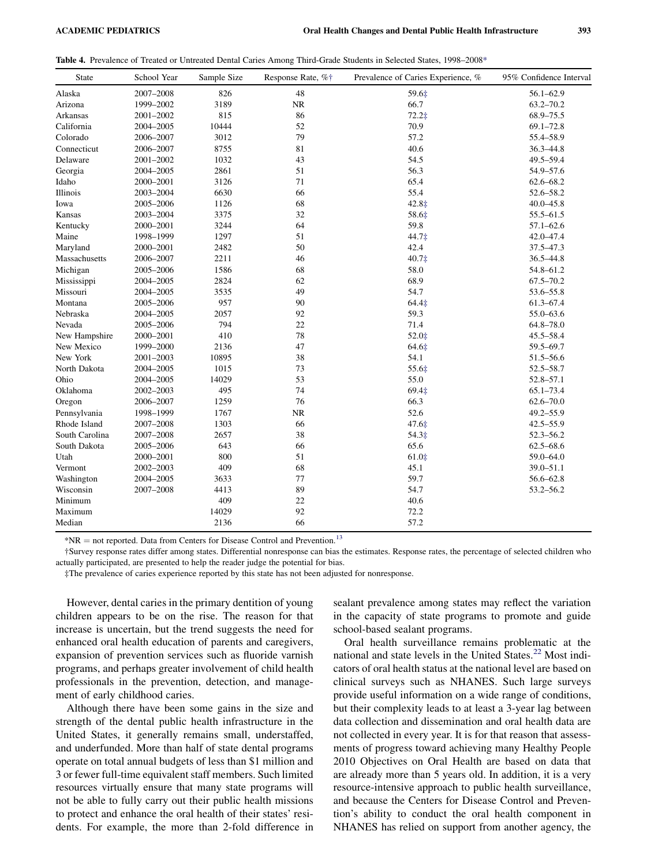<span id="page-5-0"></span>Table 4. Prevalence of Treated or Untreated Dental Caries Among Third-Grade Students in Selected States, 1998–2008\*

| <b>State</b>   | School Year | Sample Size | Response Rate, %† | Prevalence of Caries Experience, % | 95% Confidence Interval |
|----------------|-------------|-------------|-------------------|------------------------------------|-------------------------|
| Alaska         | 2007-2008   | 826         | 48                | 59.6‡                              | $56.1 - 62.9$           |
| Arizona        | 1999-2002   | 3189        | NR                | 66.7                               | $63.2 - 70.2$           |
| Arkansas       | 2001-2002   | 815         | 86                | 72.2‡                              | 68.9-75.5               |
| California     | 2004-2005   | 10444       | 52                | 70.9                               | $69.1 - 72.8$           |
| Colorado       | 2006-2007   | 3012        | 79                | 57.2                               | 55.4-58.9               |
| Connecticut    | 2006-2007   | 8755        | 81                | 40.6                               | 36.3-44.8               |
| Delaware       | 2001-2002   | 1032        | 43                | 54.5                               | 49.5-59.4               |
| Georgia        | 2004-2005   | 2861        | 51                | 56.3                               | 54.9-57.6               |
| Idaho          | 2000-2001   | 3126        | 71                | 65.4                               | $62.6 - 68.2$           |
| Illinois       | 2003-2004   | 6630        | 66                | 55.4                               | 52.6-58.2               |
| Iowa           | 2005-2006   | 1126        | 68                | 42.8‡                              | $40.0 - 45.8$           |
| Kansas         | 2003-2004   | 3375        | 32                | 58.6‡                              | 55.5-61.5               |
| Kentucky       | 2000-2001   | 3244        | 64                | 59.8                               | $57.1 - 62.6$           |
| Maine          | 1998-1999   | 1297        | 51                | 44.7‡                              | 42.0-47.4               |
| Maryland       | 2000-2001   | 2482        | 50                | 42.4                               | 37.5-47.3               |
| Massachusetts  | 2006-2007   | 2211        | 46                | 40.7‡                              | 36.5-44.8               |
| Michigan       | 2005-2006   | 1586        | 68                | 58.0                               | 54.8-61.2               |
| Mississippi    | 2004-2005   | 2824        | 62                | 68.9                               | $67.5 - 70.2$           |
| Missouri       | 2004-2005   | 3535        | 49                | 54.7                               | 53.6-55.8               |
| Montana        | 2005-2006   | 957         | 90                | 64.4‡                              | $61.3 - 67.4$           |
| Nebraska       | 2004-2005   | 2057        | 92                | 59.3                               | 55.0-63.6               |
| Nevada         | 2005-2006   | 794         | 22                | 71.4                               | $64.8 - 78.0$           |
| New Hampshire  | 2000-2001   | 410         | 78                | 52.0‡                              | $45.5 - 58.4$           |
| New Mexico     | 1999-2000   | 2136        | 47                | 64.6‡                              | 59.5-69.7               |
| New York       | 2001-2003   | 10895       | 38                | 54.1                               | 51.5-56.6               |
| North Dakota   | 2004-2005   | 1015        | 73                | 55.6‡                              | $52.5 - 58.7$           |
| Ohio           | 2004-2005   | 14029       | 53                | 55.0                               | $52.8 - 57.1$           |
| Oklahoma       | 2002-2003   | 495         | 74                | 69.4‡                              | $65.1 - 73.4$           |
| Oregon         | 2006-2007   | 1259        | 76                | 66.3                               | $62.6 - 70.0$           |
| Pennsylvania   | 1998-1999   | 1767        | <b>NR</b>         | 52.6                               | $49.2 - 55.9$           |
| Rhode Island   | 2007-2008   | 1303        | 66                | 47.6‡                              | $42.5 - 55.9$           |
| South Carolina | 2007-2008   | 2657        | 38                | 54.3‡                              | $52.3 - 56.2$           |
| South Dakota   | 2005-2006   | 643         | 66                | 65.6                               | $62.5 - 68.6$           |
| Utah           | 2000-2001   | 800         | 51                | $61.0$ ‡                           | 59.0-64.0               |
| Vermont        | 2002-2003   | 409         | 68                | 45.1                               | 39.0-51.1               |
| Washington     | 2004-2005   | 3633        | 77                | 59.7                               | 56.6-62.8               |
| Wisconsin      | 2007-2008   | 4413        | 89                | 54.7                               | 53.2-56.2               |
| Minimum        |             | 409         | 22                | 40.6                               |                         |
| Maximum        |             | 14029       | 92                | 72.2                               |                         |
| Median         |             | 2136        | 66                | 57.2                               |                         |

 $*NR = not reported.$  Data from Centers for Disease Control and Prevention.<sup>[13](#page-7-0)</sup>

†Survey response rates differ among states. Differential nonresponse can bias the estimates. Response rates, the percentage of selected children who actually participated, are presented to help the reader judge the potential for bias.

‡The prevalence of caries experience reported by this state has not been adjusted for nonresponse.

However, dental caries in the primary dentition of young children appears to be on the rise. The reason for that increase is uncertain, but the trend suggests the need for enhanced oral health education of parents and caregivers, expansion of prevention services such as fluoride varnish programs, and perhaps greater involvement of child health professionals in the prevention, detection, and management of early childhood caries.

Although there have been some gains in the size and strength of the dental public health infrastructure in the United States, it generally remains small, understaffed, and underfunded. More than half of state dental programs operate on total annual budgets of less than \$1 million and 3 or fewer full-time equivalent staff members. Such limited resources virtually ensure that many state programs will not be able to fully carry out their public health missions to protect and enhance the oral health of their states' residents. For example, the more than 2-fold difference in

sealant prevalence among states may reflect the variation in the capacity of state programs to promote and guide school-based sealant programs.

Oral health surveillance remains problematic at the national and state levels in the United States.<sup>[22](#page-7-0)</sup> Most indicators of oral health status at the national level are based on clinical surveys such as NHANES. Such large surveys provide useful information on a wide range of conditions, but their complexity leads to at least a 3-year lag between data collection and dissemination and oral health data are not collected in every year. It is for that reason that assessments of progress toward achieving many Healthy People 2010 Objectives on Oral Health are based on data that are already more than 5 years old. In addition, it is a very resource-intensive approach to public health surveillance, and because the Centers for Disease Control and Prevention's ability to conduct the oral health component in NHANES has relied on support from another agency, the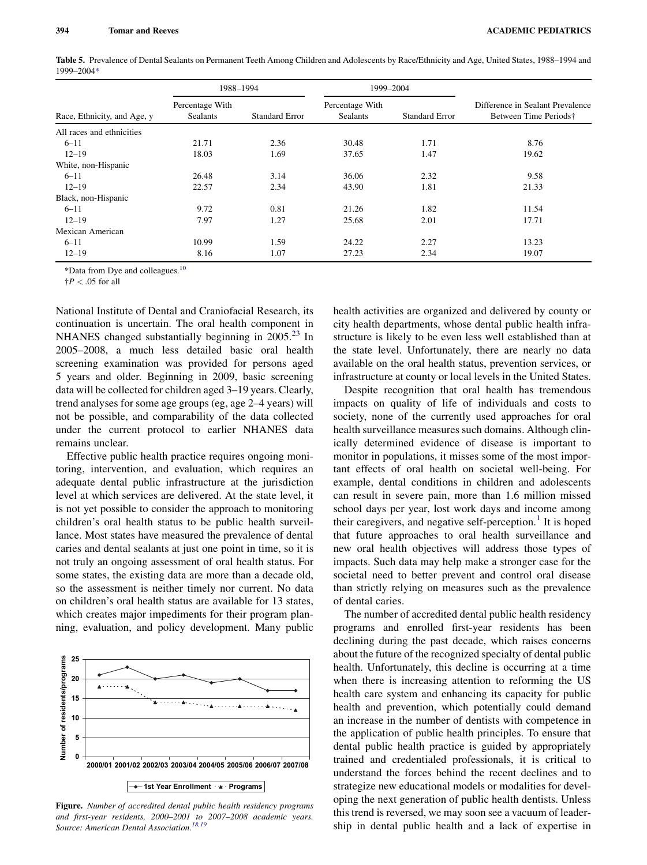<span id="page-6-0"></span>Table 5. Prevalence of Dental Sealants on Permanent Teeth Among Children and Adolescents by Race/Ethnicity and Age, United States, 1988–1994 and 1999–2004\*

|                             | 1988-1994                          |                       | 1999-2004                          |                       |                                                           |
|-----------------------------|------------------------------------|-----------------------|------------------------------------|-----------------------|-----------------------------------------------------------|
| Race, Ethnicity, and Age, y | Percentage With<br><b>Sealants</b> | <b>Standard Error</b> | Percentage With<br><b>Sealants</b> | <b>Standard Error</b> | Difference in Sealant Prevalence<br>Between Time Periods† |
| All races and ethnicities   |                                    |                       |                                    |                       |                                                           |
| $6 - 11$                    | 21.71                              | 2.36                  | 30.48                              | 1.71                  | 8.76                                                      |
| $12 - 19$                   | 18.03                              | 1.69                  | 37.65                              | 1.47                  | 19.62                                                     |
| White, non-Hispanic         |                                    |                       |                                    |                       |                                                           |
| $6 - 11$                    | 26.48                              | 3.14                  | 36.06                              | 2.32                  | 9.58                                                      |
| $12 - 19$                   | 22.57                              | 2.34                  | 43.90                              | 1.81                  | 21.33                                                     |
| Black, non-Hispanic         |                                    |                       |                                    |                       |                                                           |
| $6 - 11$                    | 9.72                               | 0.81                  | 21.26                              | 1.82                  | 11.54                                                     |
| $12 - 19$                   | 7.97                               | 1.27                  | 25.68                              | 2.01                  | 17.71                                                     |
| Mexican American            |                                    |                       |                                    |                       |                                                           |
| $6 - 11$                    | 10.99                              | 1.59                  | 24.22                              | 2.27                  | 13.23                                                     |
| $12 - 19$                   | 8.16                               | 1.07                  | 27.23                              | 2.34                  | 19.07                                                     |

\*Data from Dye and colleagues.[10](#page-7-0)

 $\dagger P < .05$  for all

National Institute of Dental and Craniofacial Research, its continuation is uncertain. The oral health component in NHANES changed substantially beginning in  $2005<sup>23</sup>$  $2005<sup>23</sup>$  $2005<sup>23</sup>$  In 2005–2008, a much less detailed basic oral health screening examination was provided for persons aged 5 years and older. Beginning in 2009, basic screening data will be collected for children aged 3–19 years. Clearly, trend analyses for some age groups (eg, age 2–4 years) will not be possible, and comparability of the data collected under the current protocol to earlier NHANES data remains unclear.

Effective public health practice requires ongoing monitoring, intervention, and evaluation, which requires an adequate dental public infrastructure at the jurisdiction level at which services are delivered. At the state level, it is not yet possible to consider the approach to monitoring children's oral health status to be public health surveillance. Most states have measured the prevalence of dental caries and dental sealants at just one point in time, so it is not truly an ongoing assessment of oral health status. For some states, the existing data are more than a decade old, so the assessment is neither timely nor current. No data on children's oral health status are available for 13 states, which creates major impediments for their program planning, evaluation, and policy development. Many public



Figure. Number of accredited dental public health residency programs and first-year residents, 2000–2001 to 2007–2008 academic years. Source: American Dental Association.<sup>18,19</sup>

health activities are organized and delivered by county or city health departments, whose dental public health infrastructure is likely to be even less well established than at the state level. Unfortunately, there are nearly no data available on the oral health status, prevention services, or infrastructure at county or local levels in the United States.

Despite recognition that oral health has tremendous impacts on quality of life of individuals and costs to society, none of the currently used approaches for oral health surveillance measures such domains. Although clinically determined evidence of disease is important to monitor in populations, it misses some of the most important effects of oral health on societal well-being. For example, dental conditions in children and adolescents can result in severe pain, more than 1.6 million missed school days per year, lost work days and income among their caregivers, and negative self-perception.<sup>[1](#page-7-0)</sup> It is hoped that future approaches to oral health surveillance and new oral health objectives will address those types of impacts. Such data may help make a stronger case for the societal need to better prevent and control oral disease than strictly relying on measures such as the prevalence of dental caries.

The number of accredited dental public health residency programs and enrolled first-year residents has been declining during the past decade, which raises concerns about the future of the recognized specialty of dental public health. Unfortunately, this decline is occurring at a time when there is increasing attention to reforming the US health care system and enhancing its capacity for public health and prevention, which potentially could demand an increase in the number of dentists with competence in the application of public health principles. To ensure that dental public health practice is guided by appropriately trained and credentialed professionals, it is critical to understand the forces behind the recent declines and to strategize new educational models or modalities for developing the next generation of public health dentists. Unless this trend is reversed, we may soon see a vacuum of leadership in dental public health and a lack of expertise in